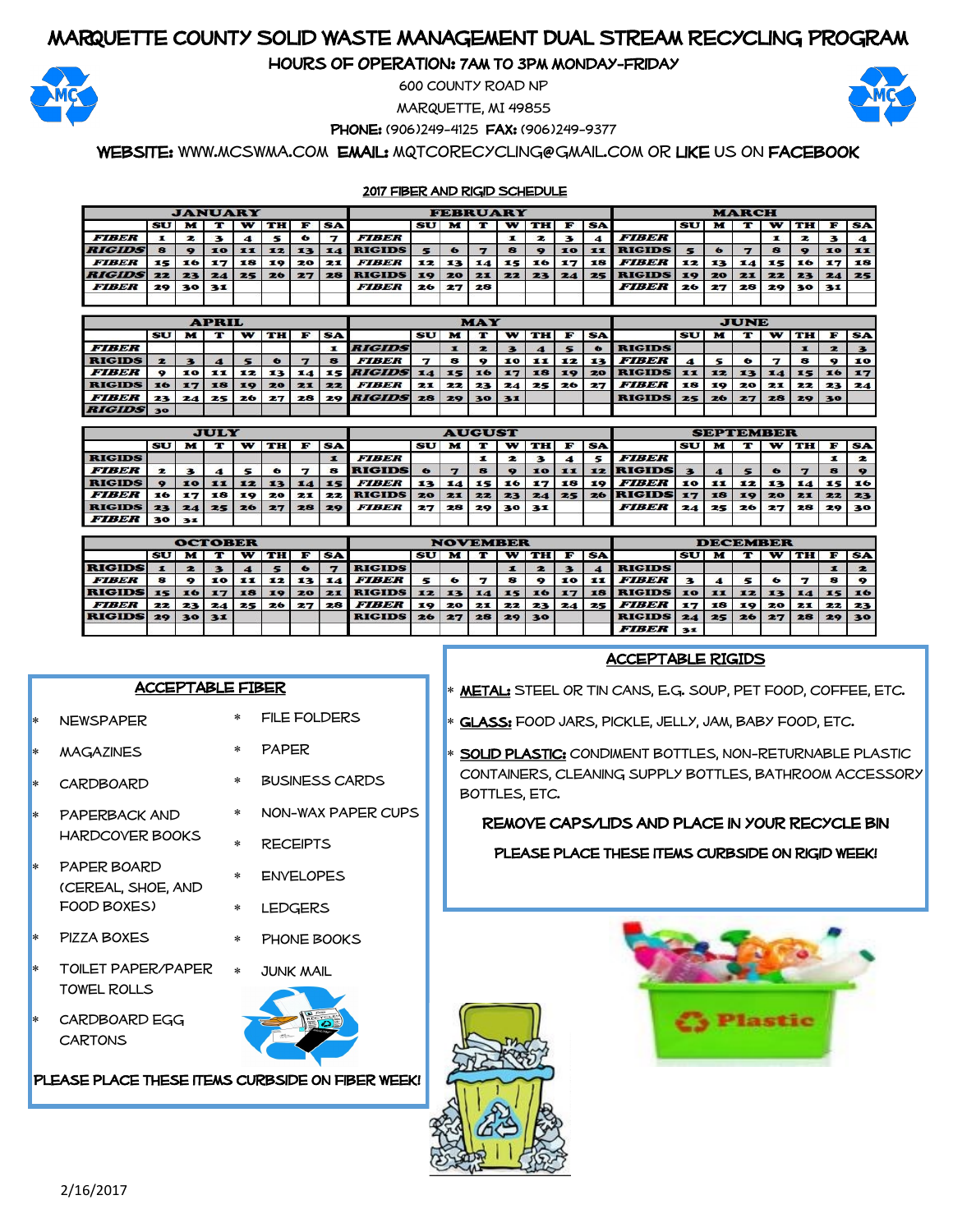# Marquette County Solid Waste Management Dual Stream Recycling Program

Hours of Operation: 7am to 3pm Monday-Friday



600 County Road NP

Marquette, MI 49855

PHONE: (906)249-4125 FAX: (906)249-9377

Website: www.mcswma.com Email: mqtcorecycling@gmail.com or Like us on Facebook

#### 2017 Fiber and Rigid Schedule

| <b>JANUARY</b> |    |    |    |    |      |           |           |               | <b>MARCH</b> |    |    |    |    |           |           |                     |           |    |    |    |    |    |           |
|----------------|----|----|----|----|------|-----------|-----------|---------------|--------------|----|----|----|----|-----------|-----------|---------------------|-----------|----|----|----|----|----|-----------|
|                | SU |    |    |    | тн   |           | <b>SA</b> |               | SU           | M  |    | w  | тн |           | <b>SA</b> |                     | <b>SU</b> |    |    |    | ш  |    | <b>SA</b> |
| <b>FIBER</b>   |    |    |    |    |      | $\bullet$ |           | <b>FIBER</b>  |              |    |    |    |    |           | 4         | <b>FIBER</b>        |           |    |    |    | 2  |    |           |
| <b>RIGIDS</b>  |    |    | 10 | ш  | -124 | 13        | 14        | <b>RIGIDS</b> |              |    |    |    |    | 10        | 11        | <b>RIGIDS</b>       |           |    |    |    |    | 10 | 11        |
| <b>FIBER</b>   | 15 | 16 |    | 18 | 19   | 20        | 21        | <b>FIBER</b>  | 12           | 13 | 14 | 15 | 16 | 17        | 18        | <i><b>FIBER</b></i> | 12        | 13 | 14 | 15 | 16 |    | 18        |
| <b>RIGIDS</b>  | 22 | 23 | 24 | 25 | 26   | 27        | 28        | <b>RIGIDS</b> | 19           | 20 | 21 | 22 | 23 | <b>24</b> | 25        | <b>RIGIDS</b>       |           | 20 | 21 | 22 | 23 | 24 | 25        |
| <b>FIBER</b>   | 29 | 30 | 31 |    |      |           |           | <b>FIBER</b>  | 26           | 27 | 28 |    |    |           |           | <b>FIBER</b>        | 26        | 27 | 28 | 29 | 30 | 31 |           |
|                |    |    |    |    |      |           |           |               |              |    |    |    |    |           |           |                     |           |    |    |    |    |    |           |

|                  |                                   |    | <b>APRIL</b>   |    |           |    |           |                              |           |    | <b>MAY</b> |              |    |    |             | <b>JUNE</b>   |      |    |                 |    |       |      |    |  |
|------------------|-----------------------------------|----|----------------|----|-----------|----|-----------|------------------------------|-----------|----|------------|--------------|----|----|-------------|---------------|------|----|-----------------|----|-------|------|----|--|
|                  | SU                                |    |                |    | <b>ТН</b> |    | <b>SA</b> |                              | <b>SU</b> |    |            | w            | тн |    | <b>SA</b>   |               | SU   |    |                 | w  | тн    |      | SA |  |
| <b>FIBER</b>     |                                   |    |                |    |           |    |           | <b>RIGIDS</b>                |           |    |            |              |    |    | $\bullet$   | <b>RIGIDS</b> |      |    |                 |    |       | 2    |    |  |
| <b>RIGIDS</b>    |                                   |    |                |    | ⊷         |    | в         | <b>FIBER</b>                 | ⇁         |    |            | 10           | 11 | 12 | <b>13 L</b> | <b>FIBER</b>  |      |    |                 |    | 8     |      | 10 |  |
| <b>FIBER</b>     |                                   | 10 | $\blacksquare$ | 12 | 13        | 14 |           | 15 <i>RIGIDS</i> 14          |           | 15 | 16         | <b>17</b>    | 18 | 19 | 20          | <b>RIGIDS</b> | - 11 | 12 | 13              | 14 | $-15$ | 16   | 17 |  |
| RIGIDS 16        |                                   |    | 18             | 10 | 20        | 21 | 22.       | <b>FIBER</b>                 | 21        | 22 |            | $23 \mid 24$ | 25 | 26 | 27          | <b>FIBER</b>  | 18   | 19 | 20              | 21 | 22    | 23 1 | 24 |  |
| <b>FIBER</b>     | 23                                | 24 | 25.            | 26 | 27        | 28 |           | 29 <i>RIGIDS</i> 28 29 30 31 |           |    |            |              |    |    |             | <b>RIGIDS</b> | 25   | 26 | 27 <sup>1</sup> | 28 | 29 30 |      |    |  |
| $P$ <i>reine</i> | <b>Contract Contract Contract</b> |    |                |    |           |    |           |                              |           |    |            |              |    |    |             |               |      |    |                 |    |       |      |    |  |

|                     | <b>JULY</b> |    |       |               |    |    |            |                     |           |    |                 |    |    |    |           |                     |    |               |    |    |    |          |           |
|---------------------|-------------|----|-------|---------------|----|----|------------|---------------------|-----------|----|-----------------|----|----|----|-----------|---------------------|----|---------------|----|----|----|----------|-----------|
|                     |             |    |       | <b>AUGUST</b> |    |    |            | <b>SEPTEMBER</b>    |           |    |                 |    |    |    |           |                     |    |               |    |    |    |          |           |
|                     | SU          |    |       |               | ТН | F  | <b>SAI</b> |                     | <b>SU</b> |    |                 | w  | TH | F. | <b>SA</b> |                     | SU | M             |    | w  | TH | F        | <b>SA</b> |
| <b>RIGIDS</b>       |             |    |       |               |    |    |            | <b>FIBER</b>        |           |    |                 |    |    |    |           | <i><b>FIBER</b></i> |    |               |    |    |    |          |           |
| <b>FIBER</b>        |             |    |       |               |    |    | я          | <b>RIGIDS</b>       |           |    |                 |    | 10 | 11 |           | 12 RIGIDS           |    |               |    |    |    |          |           |
| <b>RIGIDS</b>       |             |    | 10 11 | 12.           | 13 | 14 | 151        | <b>FIBER</b>        | 13        | 14 | 15 <sub>1</sub> | 16 | 17 | 18 | 19        | <b>FIBER</b>        | 10 | $\mathbf{11}$ | 12 | 13 |    | 14 15 16 |           |
| <i><b>FIBER</b></i> | 16          | 17 | 18    | 19            | 20 | 21 |            | <b>22 RIGIDS 20</b> |           | 21 | 22              | 23 | 24 | 25 |           | 26 RIGIDS 17        |    | 18            | 19 | 20 | 21 | 22       | 23        |
| <b>RIGIDS</b>       | 23          |    | 24125 | 26            | 27 | 28 | 29         | <b>FIBER</b>        | 27        | 28 | 29              | 30 | 31 |    |           | <b>FIBER</b>        | 24 | 25            | 26 | 27 | 28 | 29       | 30        |
| <b>FIBER</b> 30     |             | 31 |       |               |    |    |            |                     |           |    |                 |    |    |    |           |                     |    |               |    |    |    |          |           |

|                     |    |           |      | <b>NOVEMBER</b> |    |            |           | <b>DECEMBER</b> |    |                 |    |    |    |    |              |                     |           |    |    |           |      |              |           |
|---------------------|----|-----------|------|-----------------|----|------------|-----------|-----------------|----|-----------------|----|----|----|----|--------------|---------------------|-----------|----|----|-----------|------|--------------|-----------|
|                     | SU | м         |      |                 | TH | <b>FOR</b> | <b>SA</b> |                 | SU |                 |    | w  | TH | F  | <b>SA</b>    |                     | <b>SU</b> |    |    | w         | ти   | F            | <b>SA</b> |
| <b>RIGIDS</b>       |    |           |      |                 |    | $\bullet$  |           | <b>RIGIDS</b>   |    |                 |    |    |    |    |              | <b>RIGIDS</b>       |           |    |    |           |      | $\mathbf{r}$ |           |
| <i><b>FIBER</b></i> |    | $\bullet$ | 10   | 11              | 12 | 13         | 14 .      | <b>FIBER</b>    |    | $\bullet$       |    | 8  |    | 10 | $\mathbf{1}$ | <i><b>FIBER</b></i> |           |    |    | $\bullet$ |      | 8            |           |
| <b>RIGIDS</b>       | 15 | 16        | l 17 | 18              | 19 | 20         | 21        | <b>RIGIDS</b>   | 12 | 13 <sup>1</sup> | 14 | 15 | 16 | 17 | 18 I         | <b>RIGIDS</b> 10    |           | ш  | 12 | <b>I3</b> | 14.1 | 15 16        |           |
| <b>FIBER</b>        | 22 | 23        | 24   | 25              | 26 | 27         | 28        | <b>FIBER</b>    | 19 | 20              | 21 | 22 | 23 |    | $24$ 25      | <b>FIBER</b>        | 17        | 18 | 19 | 20        | 21   | 22           | 23        |
| <b>RIGIDS</b>       | 29 | 30        | 31   |                 |    |            |           | <b>RIGIDS</b>   | 26 | 27              | 28 | 29 | 30 |    |              | <b>RIGIDS</b>       | 24        | 25 | 26 | 27        | 28   | 29           | 130       |
|                     |    |           |      |                 |    |            |           |                 |    |                 |    |    |    |    |              | <b>FIBER</b>        | 31        |    |    |           |      |              |           |

#### ACCEPTABLE FIBER

Newspaper

**MAGAZINES** 

**CARDBOARD** 

PAPERBACK AND Hardcover books

 Paper board (cereal, shoe, and food boxes) Pizza boxes

- Paper
- Business cards
	- \* NON-WAX PAPER CUPS

File folders

- Receipts
- 
- Envelopes
- Ledgers
- Phone Books
- Toilet paper/paper towel rolls
- Cardboard egg **CARTONS**



PLEASE PLACE THESE ITEMS CURBSIDE ON FIBER WEEK!

## ACCEPTABLE RIGIDS

Metal: Steel or Tin cans, e.g. soup, pet food, coffee, etc.

- Glass: food jars, pickle, jelly, jam, baby food, etc.
- SOLID PLASTIC: CONDIMENT BOTTLES, NON-RETURNABLE PLASTIC containers, cleaning supply bottles, bathroom accessory bottles, etc.

## Remove caps/lids and place in your recycle bin

#### PLEASE PLACE THESE ITEMS CURBSIDE ON RIGID WEEK!